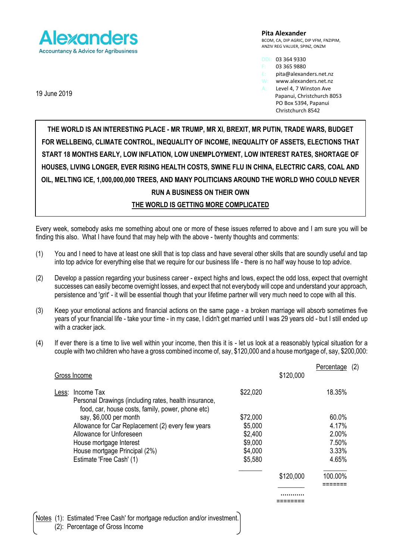

**Pita Alexander** BCOM, CA, DIP AGRIC, DIP VFM, FNZIPIM, ANZIV REG VALUER, SPINZ, ONZM

DDI: 03 364 9330

03 365 9880

E: pita@alexanders.net.nz<br>W: www.alexanders.net.nz

www.alexanders.net.nz

A: Level 4, 7 Winston Ave Papanui, Christchurch 8053 PO Box 5394, Papanui Christchurch 8542

**THE WORLD IS AN INTERESTING PLACE - MR TRUMP, MR XI, BREXIT, MR PUTIN, TRADE WARS, BUDGET FOR WELLBEING, CLIMATE CONTROL, INEQUALITY OF INCOME, INEQUALITY OF ASSETS, ELECTIONS THAT START 18 MONTHS EARLY, LOW INFLATION, LOW UNEMPLOYMENT, LOW INTEREST RATES, SHORTAGE OF HOUSES, LIVING LONGER, EVER RISING HEALTH COSTS, SWINE FLU IN CHINA, ELECTRIC CARS, COAL AND OIL, MELTING ICE, 1,000,000,000 TREES, AND MANY POLITICIANS AROUND THE WORLD WHO COULD NEVER RUN A BUSINESS ON THEIR OWN THE WORLD IS GETTING MORE COMPLICATED**

Every week, somebody asks me something about one or more of these issues referred to above and I am sure you will be finding this also. What I have found that may help with the above - twenty thoughts and comments:

- (1) You and I need to have at least one skill that is top class and have several other skills that are soundly useful and tap into top advice for everything else that we require for our business life - there is no half way house to top advice.
- (2) Develop a passion regarding your business career expect highs and lows, expect the odd loss, expect that overnight successes can easily become overnight losses, and expect that not everybody will cope and understand your approach, persistence and 'grit' - it will be essential though that your lifetime partner will very much need to cope with all this.
- (3) Keep your emotional actions and financial actions on the same page a broken marriage will absorb sometimes five years of your financial life - take your time - in my case, I didn't get married until I was 29 years old - but I still ended up with a cracker jack.
- (4) If ever there is a time to live well within your income, then this it is let us look at a reasonably typical situation for a couple with two children who have a gross combined income of, say, \$120,000 and a house mortgage of, say, \$200,000:

|       |                                                                                                               |          |           | Percentage | (2) |
|-------|---------------------------------------------------------------------------------------------------------------|----------|-----------|------------|-----|
|       | Gross Income                                                                                                  |          | \$120,000 |            |     |
| Less: | Income Tax                                                                                                    | \$22,020 |           | 18.35%     |     |
|       | Personal Drawings (including rates, health insurance,<br>food, car, house costs, family, power, phone etc)    |          |           |            |     |
|       | say, \$6,000 per month                                                                                        | \$72,000 |           | 60.0%      |     |
|       | Allowance for Car Replacement (2) every few years                                                             | \$5,000  |           | 4.17%      |     |
|       | Allowance for Unforeseen                                                                                      | \$2,400  |           | 2.00%      |     |
|       | House mortgage Interest                                                                                       | \$9,000  |           | 7.50%      |     |
|       | House mortgage Principal (2%)                                                                                 | \$4,000  |           | 3.33%      |     |
|       | Estimate 'Free Cash' (1)                                                                                      | \$5,580  |           | 4.65%      |     |
|       |                                                                                                               |          | \$120,000 | 100.00%    |     |
|       |                                                                                                               |          |           |            |     |
|       |                                                                                                               |          |           |            |     |
|       |                                                                                                               |          |           |            |     |
|       | Notes (1): Estimated 'Free Cash' for mortgage reduction and/or investment.<br>(2): Percentage of Gross Income |          |           |            |     |

19 June 2019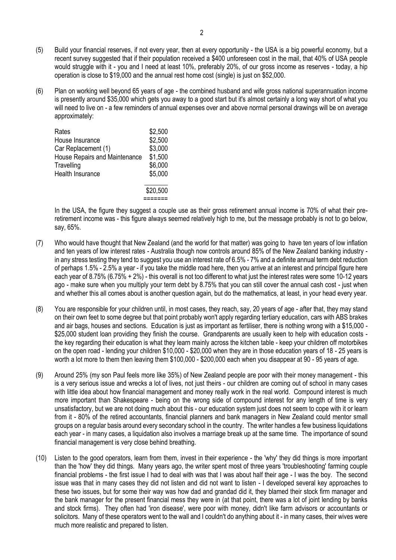- (5) Build your financial reserves, if not every year, then at every opportunity the USA is a big powerful economy, but a recent survey suggested that if their population received a \$400 unforeseen cost in the mail, that 40% of USA people would struggle with it - you and I need at least 10%, preferably 20%, of our gross income as reserves - today, a hip operation is close to \$19,000 and the annual rest home cost (single) is just on \$52,000.
- (6) Plan on working well beyond 65 years of age the combined husband and wife gross national superannuation income is presently around \$35,000 which gets you away to a good start but it's almost certainly a long way short of what you will need to live on - a few reminders of annual expenses over and above normal personal drawings will be on average approximately:

| Rates                         | \$2,500  |
|-------------------------------|----------|
| House Insurance               | \$2,500  |
| Car Replacement (1)           | \$3,000  |
| House Repairs and Maintenance | \$1,500  |
| Travelling                    | \$6,000  |
| Health Insurance              | \$5,000  |
|                               | \$20,500 |
|                               |          |

In the USA, the figure they suggest a couple use as their gross retirement annual income is 70% of what their preretirement income was - this figure always seemed relatively high to me, but the message probably is not to go below, say, 65%.

- (7) Who would have thought that New Zealand (and the world for that matter) was going to have ten years of low inflation and ten years of low interest rates - Australia though now controls around 85% of the New Zealand banking industry in any stress testing they tend to suggest you use an interest rate of 6.5% - 7% and a definite annual term debt reduction of perhaps 1.5% - 2.5% a year - if you take the middle road here, then you arrive at an interest and principal figure here each year of 8.75% (6.75% + 2%) - this overall is not too different to what just the interest rates were some 10-12 years ago - make sure when you multiply your term debt by 8.75% that you can still cover the annual cash cost - just when and whether this all comes about is another question again, but do the mathematics, at least, in your head every year.
- (8) You are responsible for your children until, in most cases, they reach, say, 20 years of age after that, they may stand on their own feet to some degree but that point probably won't apply regarding tertiary education, cars with ABS brakes and air bags, houses and sections. Education is just as important as fertiliser, there is nothing wrong with a \$15,000 - \$25,000 student loan providing they finish the course. Grandparents are usually keen to help with education costs the key regarding their education is what they learn mainly across the kitchen table - keep your children off motorbikes on the open road - lending your children \$10,000 - \$20,000 when they are in those education years of 18 - 25 years is worth a lot more to them then leaving them \$100,000 - \$200,000 each when you disappear at 90 - 95 years of age.
- (9) Around 25% (my son Paul feels more like 35%) of New Zealand people are poor with their money management this is a very serious issue and wrecks a lot of lives, not just theirs - our children are coming out of school in many cases with little idea about how financial management and money really work in the real world. Compound interest is much more important than Shakespeare - being on the wrong side of compound interest for any length of time is very unsatisfactory, but we are not doing much about this - our education system just does not seem to cope with it or learn from it - 80% of the retired accountants, financial planners and bank managers in New Zealand could mentor small groups on a regular basis around every secondary school in the country. The writer handles a few business liquidations each year - in many cases, a liquidation also involves a marriage break up at the same time. The importance of sound financial management is very close behind breathing.
- (10) Listen to the good operators, learn from them, invest in their experience the 'why' they did things is more important than the 'how' they did things. Many years ago, the writer spent most of three years 'troubleshooting' farming couple financial problems - the first issue I had to deal with was that I was about half their age - I was the boy. The second issue was that in many cases they did not listen and did not want to listen - I developed several key approaches to these two issues, but for some their way was how dad and grandad did it, they blamed their stock firm manager and the bank manager for the present financial mess they were in (at that point, there was a lot of joint lending by banks and stock firms). They often had 'iron disease', were poor with money, didn't like farm advisors or accountants or solicitors. Many of these operators went to the wall and I couldn't do anything about it - in many cases, their wives were much more realistic and prepared to listen.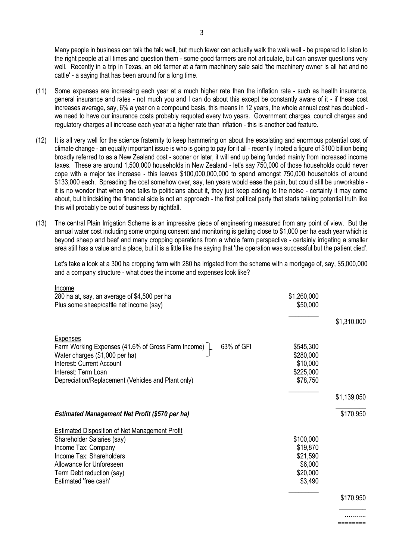Many people in business can talk the talk well, but much fewer can actually walk the walk well - be prepared to listen to the right people at all times and question them - some good farmers are not articulate, but can answer questions very well. Recently in a trip in Texas, an old farmer at a farm machinery sale said 'the machinery owner is all hat and no cattle' - a saying that has been around for a long time.

- (11) Some expenses are increasing each year at a much higher rate than the inflation rate such as health insurance, general insurance and rates - not much you and I can do about this except be constantly aware of it - if these cost increases average, say, 6% a year on a compound basis, this means in 12 years, the whole annual cost has doubled we need to have our insurance costs probably requoted every two years. Government charges, council charges and regulatory charges all increase each year at a higher rate than inflation - this is another bad feature.
- (12) It is all very well for the science fraternity to keep hammering on about the escalating and enormous potential cost of climate change - an equally important issue is who is going to pay for it all - recently I noted a figure of \$100 billion being broadly referred to as a New Zealand cost - sooner or later, it will end up being funded mainly from increased income taxes. These are around 1,500,000 households in New Zealand - let's say 750,000 of those households could never cope with a major tax increase - this leaves \$100,000,000,000 to spend amongst 750,000 households of around \$133,000 each. Spreading the cost somehow over, say, ten years would ease the pain, but could still be unworkable it is no wonder that when one talks to politicians about it, they just keep adding to the noise - certainly it may come about, but blindsiding the financial side is not an approach - the first political party that starts talking potential truth like this will probably be out of business by nightfall.
- (13) The central Plain Irrigation Scheme is an impressive piece of engineering measured from any point of view. But the annual water cost including some ongoing consent and monitoring is getting close to \$1,000 per ha each year which is beyond sheep and beef and many cropping operations from a whole farm perspective - certainly irrigating a smaller area still has a value and a place, but it is a little like the saying that 'the operation was successful but the patient died'.

Let's take a look at a 300 ha cropping farm with 280 ha irrigated from the scheme with a mortgage of, say, \$5,000,000 and a company structure - what does the income and expenses look like?

| Income<br>280 ha at, say, an average of \$4,500 per ha<br>Plus some sheep/cattle net income (say)                                                                                                                                 | \$1,260,000<br>\$50,000                                             |             |
|-----------------------------------------------------------------------------------------------------------------------------------------------------------------------------------------------------------------------------------|---------------------------------------------------------------------|-------------|
|                                                                                                                                                                                                                                   |                                                                     | \$1,310,000 |
| Expenses<br>Farm Working Expenses (41.6% of Gross Farm Income) L<br>63% of GFI<br>Water charges (\$1,000 per ha)<br><b>Interest: Current Account</b><br>Interest: Term Loan<br>Depreciation/Replacement (Vehicles and Plant only) | \$545,300<br>\$280,000<br>\$10,000<br>\$225,000<br>\$78,750         |             |
|                                                                                                                                                                                                                                   |                                                                     | \$1,139,050 |
| <b>Estimated Management Net Profit (\$570 per ha)</b>                                                                                                                                                                             |                                                                     | \$170,950   |
| Estimated Disposition of Net Management Profit<br>Shareholder Salaries (say)<br>Income Tax: Company<br>Income Tax: Shareholders<br>Allowance for Unforeseen<br>Term Debt reduction (say)<br>Estimated 'free cash'                 | \$100,000<br>\$19,870<br>\$21,590<br>\$6,000<br>\$20,000<br>\$3,490 |             |
|                                                                                                                                                                                                                                   |                                                                     | \$170,950   |

**….…….** ========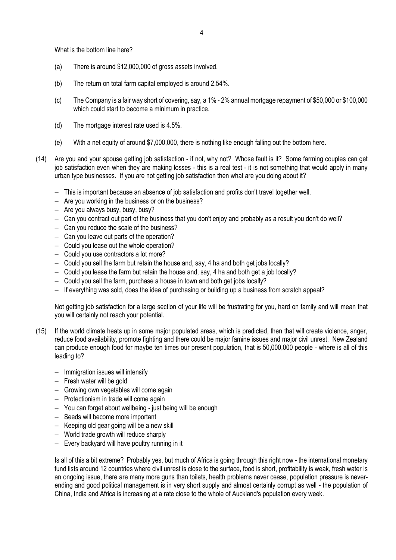What is the bottom line here?

- (a) There is around \$12,000,000 of gross assets involved.
- (b) The return on total farm capital employed is around 2.54%.
- (c) The Company is a fair way short of covering, say, a 1% 2% annual mortgage repayment of \$50,000 or \$100,000 which could start to become a minimum in practice.
- (d) The mortgage interest rate used is 4.5%.
- (e) With a net equity of around \$7,000,000, there is nothing like enough falling out the bottom here.
- (14) Are you and your spouse getting job satisfaction if not, why not? Whose fault is it? Some farming couples can get job satisfaction even when they are making losses - this is a real test - it is not something that would apply in many urban type businesses. If you are not getting job satisfaction then what are you doing about it?
	- − This is important because an absence of job satisfaction and profits don't travel together well.
	- − Are you working in the business or on the business?
	- − Are you always busy, busy, busy?
	- − Can you contract out part of the business that you don't enjoy and probably as a result you don't do well?
	- − Can you reduce the scale of the business?
	- − Can you leave out parts of the operation?
	- − Could you lease out the whole operation?
	- − Could you use contractors a lot more?
	- − Could you sell the farm but retain the house and, say, 4 ha and both get jobs locally?
	- − Could you lease the farm but retain the house and, say, 4 ha and both get a job locally?
	- − Could you sell the farm, purchase a house in town and both get jobs locally?
	- − If everything was sold, does the idea of purchasing or building up a business from scratch appeal?

Not getting job satisfaction for a large section of your life will be frustrating for you, hard on family and will mean that you will certainly not reach your potential.

- (15) If the world climate heats up in some major populated areas, which is predicted, then that will create violence, anger, reduce food availability, promote fighting and there could be major famine issues and major civil unrest. New Zealand can produce enough food for maybe ten times our present population, that is 50,000,000 people - where is all of this leading to?
	- − Immigration issues will intensify
	- − Fresh water will be gold
	- − Growing own vegetables will come again
	- − Protectionism in trade will come again
	- − You can forget about wellbeing just being will be enough
	- − Seeds will become more important
	- − Keeping old gear going will be a new skill
	- − World trade growth will reduce sharply
	- − Every backyard will have poultry running in it

Is all of this a bit extreme? Probably yes, but much of Africa is going through this right now - the international monetary fund lists around 12 countries where civil unrest is close to the surface, food is short, profitability is weak, fresh water is an ongoing issue, there are many more guns than toilets, health problems never cease, population pressure is neverending and good political management is in very short supply and almost certainly corrupt as well - the population of China, India and Africa is increasing at a rate close to the whole of Auckland's population every week.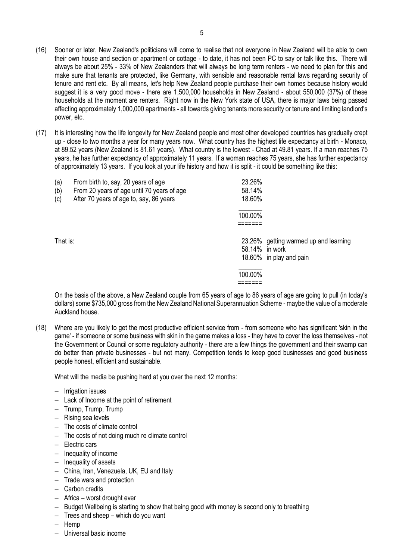- (16) Sooner or later, New Zealand's politicians will come to realise that not everyone in New Zealand will be able to own their own house and section or apartment or cottage - to date, it has not been PC to say or talk like this. There will always be about 25% - 33% of New Zealanders that will always be long term renters - we need to plan for this and make sure that tenants are protected, like Germany, with sensible and reasonable rental laws regarding security of tenure and rent etc. By all means, let's help New Zealand people purchase their own homes because history would suggest it is a very good move - there are 1,500,000 households in New Zealand - about 550,000 (37%) of these households at the moment are renters. Right now in the New York state of USA, there is major laws being passed affecting approximately 1,000,000 apartments - all towards giving tenants more security or tenure and limiting landlord's power, etc.
- (17) It is interesting how the life longevity for New Zealand people and most other developed countries has gradually crept up - close to two months a year for many years now. What country has the highest life expectancy at birth - Monaco, at 89.52 years (New Zealand is 81.61 years). What country is the lowest - Chad at 49.81 years. If a man reaches 75 years, he has further expectancy of approximately 11 years. If a woman reaches 75 years, she has further expectancy of approximately 13 years. If you look at your life history and how it is split - it could be something like this:

| (a)<br>(b)<br>(c) | From birth to, say, 20 years of age<br>From 20 years of age until 70 years of age<br>After 70 years of age to, say, 86 years | 23.26%<br>58.14%<br>18.60% |                                                                  |
|-------------------|------------------------------------------------------------------------------------------------------------------------------|----------------------------|------------------------------------------------------------------|
|                   |                                                                                                                              | 100.00%                    |                                                                  |
| That is:          |                                                                                                                              | 58.14% in work             | 23.26% getting warmed up and learning<br>18.60% in play and pain |
|                   |                                                                                                                              | 100.00%                    |                                                                  |

On the basis of the above, a New Zealand couple from 65 years of age to 86 years of age are going to pull (in today's dollars) some \$735,000 gross from the New Zealand National Superannuation Scheme - maybe the value of a moderate Auckland house.

(18) Where are you likely to get the most productive efficient service from - from someone who has significant 'skin in the game' - if someone or some business with skin in the game makes a loss - they have to cover the loss themselves - not the Government or Council or some regulatory authority - there are a few things the government and their swamp can do better than private businesses - but not many. Competition tends to keep good businesses and good business people honest, efficient and sustainable.

What will the media be pushing hard at you over the next 12 months:

- − Irrigation issues
- − Lack of Income at the point of retirement
- − Trump, Trump, Trump
- − Rising sea levels
- − The costs of climate control
- − The costs of not doing much re climate control
- − Electric cars
- − Inequality of income
- − Inequality of assets
- − China, Iran, Venezuela, UK, EU and Italy
- − Trade wars and protection
- − Carbon credits
- − Africa worst drought ever
- − Budget Wellbeing is starting to show that being good with money is second only to breathing
- − Trees and sheep which do you want
- − Hemp
- − Universal basic income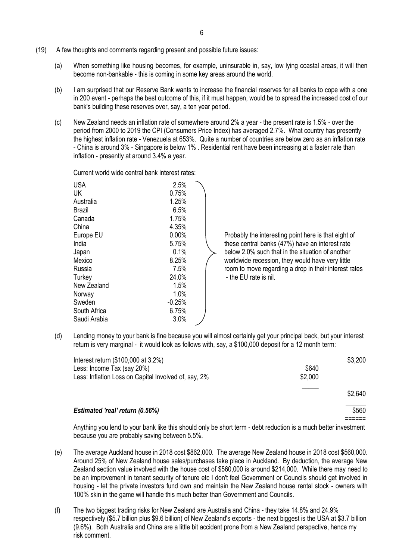- (19) A few thoughts and comments regarding present and possible future issues:
	- (a) When something like housing becomes, for example, uninsurable in, say, low lying coastal areas, it will then become non-bankable - this is coming in some key areas around the world.
	- (b) I am surprised that our Reserve Bank wants to increase the financial reserves for all banks to cope with a one in 200 event - perhaps the best outcome of this, if it must happen, would be to spread the increased cost of our bank's building these reserves over, say, a ten year period.
	- (c) New Zealand needs an inflation rate of somewhere around 2% a year the present rate is 1.5% over the period from 2000 to 2019 the CPI (Consumers Price Index) has averaged 2.7%. What country has presently the highest inflation rate - Venezuela at 653%. Quite a number of countries are below zero as an inflation rate - China is around 3% - Singapore is below 1% . Residential rent have been increasing at a faster rate than inflation - presently at around 3.4% a year.

Current world wide central bank interest rates:

| <b>USA</b>   | 2.5%     |                       |
|--------------|----------|-----------------------|
| UK           | 0.75%    |                       |
| Australia    | 1.25%    |                       |
| Brazil       | 6.5%     |                       |
| Canada       | 1.75%    |                       |
| China        | 4.35%    |                       |
| Europe EU    | 0.00%    | Probably the interes  |
| India        | 5.75%    | these central banks   |
| Japan        | 0.1%     | below 2.0% such th    |
| Mexico       | 8.25%    | worldwide recession   |
| Russia       | 7.5%     | room to move regar    |
| Turkey       | 24.0%    | - the EU rate is nil. |
| New Zealand  | 1.5%     |                       |
| Norway       | 1.0%     |                       |
| Sweden       | $-0.25%$ |                       |
| South Africa | 6.75%    |                       |
| Saudi Arabia | 3.0%     |                       |

Europe EU 0.00% Probably the interesting point here is that eight of India 10.175% 1ndia 1.5.75% have an interest rate below 2.0% such that in the situation of another Mexico 8.25% worldwide recession, they would have very little Russia **Russia 1.5%** room to move regarding a drop in their interest rates

(d) Lending money to your bank is fine because you will almost certainly get your principal back, but your interest return is very marginal - it would look as follows with, say, a \$100,000 deposit for a 12 month term:

| Interest return (\$100,000 at 3.2%)                  |         | \$3,200 |
|------------------------------------------------------|---------|---------|
| Less: Income Tax (say 20%)                           | \$640   |         |
| Less: Inflation Loss on Capital Involved of, say, 2% | \$2,000 |         |
|                                                      |         | \$2,640 |
| <b>Estimated 'real' return (0.56%)</b>               |         | \$560   |
|                                                      |         |         |

Anything you lend to your bank like this should only be short term - debt reduction is a much better investment because you are probably saving between 5.5%.

- (e) The average Auckland house in 2018 cost \$862,000. The average New Zealand house in 2018 cost \$560,000. Around 25% of New Zealand house sales/purchases take place in Auckland. By deduction, the average New Zealand section value involved with the house cost of \$560,000 is around \$214,000. While there may need to be an improvement in tenant security of tenure etc I don't feel Government or Councils should get involved in housing - let the private investors fund own and maintain the New Zealand house rental stock - owners with 100% skin in the game will handle this much better than Government and Councils.
- (f) The two biggest trading risks for New Zealand are Australia and China they take 14.8% and 24.9% respectively (\$5.7 billion plus \$9.6 billion) of New Zealand's exports - the next biggest is the USA at \$3.7 billion (9.6%). Both Australia and China are a little bit accident prone from a New Zealand perspective, hence my risk comment.